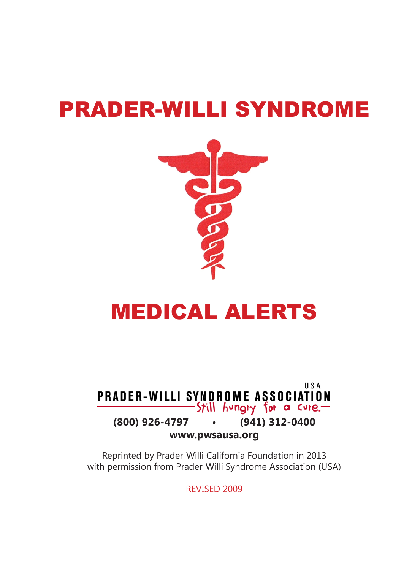# PRADER-WILLI SYNDROME



# MEDICAL ALERTS

**USA** PRADER-WILLI SYNDROME ASSOCIATION -Still hungry for a cure.— **(800) 926-4797 • (941) 312-0400 www.pwsausa.org**

Reprinted by Prader-Willi California Foundation in 2013 with permission from Prader-Willi Syndrome Association (USA)

REVISED 2009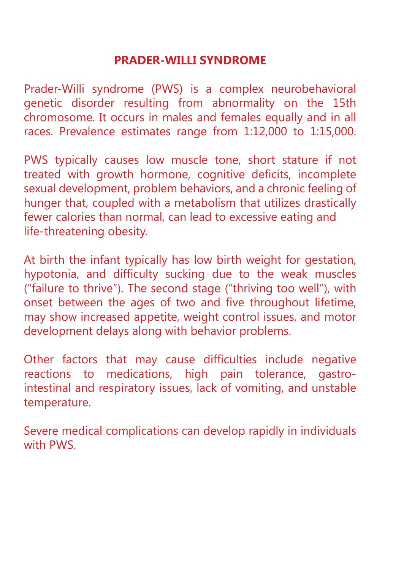#### **PRADER-WILLI SYNDROME**

Prader-Willi syndrome (PWS) is a complex neurobehavioral genetic disorder resulting from abnormality on the 15th chromosome. It occurs in males and females equally and in all races. Prevalence estimates range from 1:12,000 to 1:15,000.

PWS typically causes low muscle tone, short stature if not treated with growth hormone, cognitive deficits, incomplete sexual development, problem behaviors, and a chronic feeling of hunger that, coupled with a metabolism that utilizes drastically fewer calories than normal, can lead to excessive eating and life-threatening obesity.

At birth the infant typically has low birth weight for gestation, hypotonia, and difficulty sucking due to the weak muscles ("failure to thrive"). The second stage ("thriving too well"), with onset between the ages of two and five throughout lifetime, may show increased appetite, weight control issues, and motor development delays along with behavior problems.

Other factors that may cause difficulties include negative reactions to medications, high pain tolerance, gastrointestinal and respiratory issues, lack of vomiting, and unstable temperature.

Severe medical complications can develop rapidly in individuals with PWS.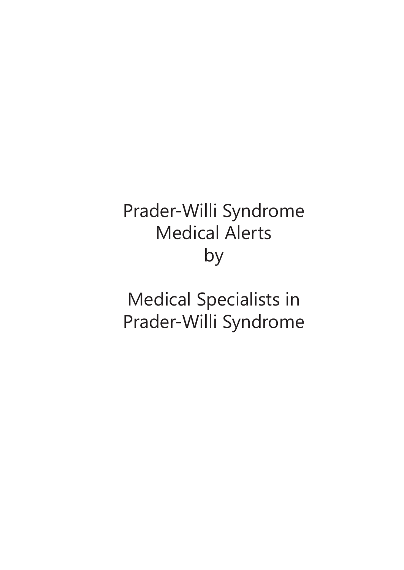# Prader-Willi Syndrome Medical Alerts by

Medical Specialists in Prader-Willi Syndrome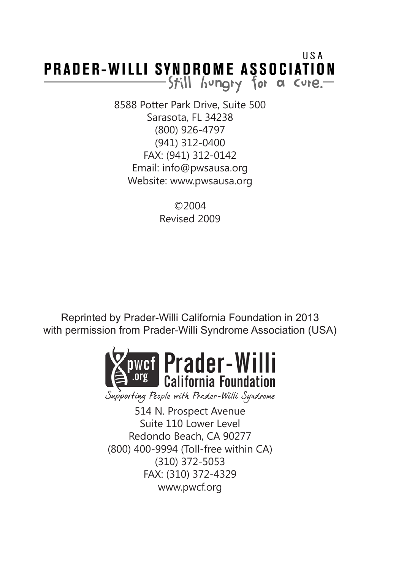#### USA **PRADER-WILLI SYNDROME ASSOCIATION** Still hungry for a cure.

8588 Potter Park Drive, Suite 500 Sarasota, FL 34238 (800) 926-4797 (941) 312-0400 FAX: (941) 312-0142 Email: info@pwsausa.org Website: www.pwsausa.org

> ©2004 Revised 2009

Reprinted by Prader-Willi California Foundation in 2013 with permission from Prader-Willi Syndrome Association (USA)



Supporting People with Prader-Willi Syndrome

514 N. Prospect Avenue Suite 110 Lower Level Redondo Beach, CA 90277 (800) 400-9994 (Toll-free within CA) (310) 372-5053 FAX: (310) 372-4329 www.pwcf.org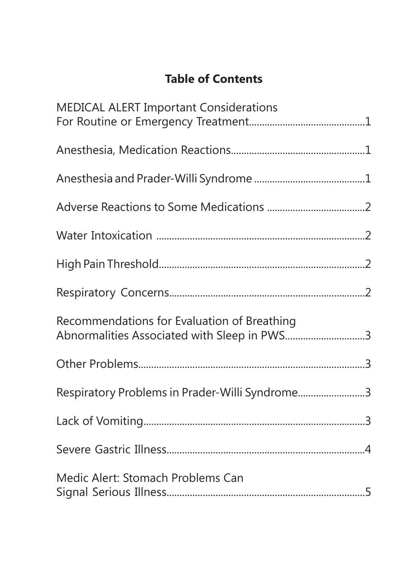## **Table of Contents**

| <b>MEDICAL ALERT Important Considerations</b>                                              |  |
|--------------------------------------------------------------------------------------------|--|
|                                                                                            |  |
|                                                                                            |  |
|                                                                                            |  |
|                                                                                            |  |
|                                                                                            |  |
|                                                                                            |  |
| Recommendations for Evaluation of Breathing<br>Abnormalities Associated with Sleep in PWS3 |  |
|                                                                                            |  |
| Respiratory Problems in Prader-Willi Syndrome3                                             |  |
|                                                                                            |  |
|                                                                                            |  |
| Medic Alert: Stomach Problems Can                                                          |  |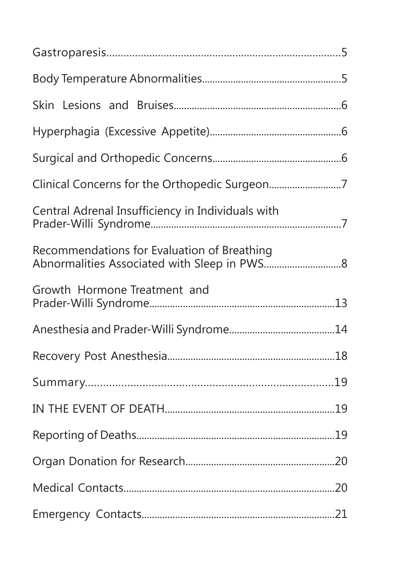| Clinical Concerns for the Orthopedic Surgeon7     |  |
|---------------------------------------------------|--|
| Central Adrenal Insufficiency in Individuals with |  |
| Recommendations for Evaluation of Breathing       |  |
| Growth Hormone Treatment and                      |  |
|                                                   |  |
|                                                   |  |
|                                                   |  |
|                                                   |  |
|                                                   |  |
|                                                   |  |
|                                                   |  |
|                                                   |  |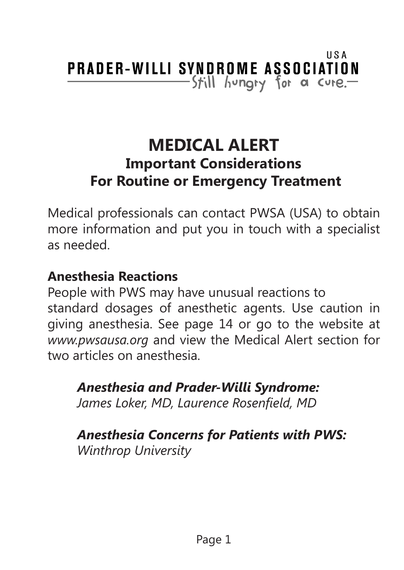# **MEDICAL ALERT Important Considerations For Routine or Emergency Treatment**

Medical professionals can contact PWSA (USA) to obtain more information and put you in touch with a specialist as needed.

#### **Anesthesia Reactions**

People with PWS may have unusual reactions to standard dosages of anesthetic agents. Use caution in giving anesthesia. See page 14 or go to the website at *www.pwsausa.org* and view the Medical Alert section for two articles on anesthesia.

*Anesthesia and Prader-Willi Syndrome: James Loker, MD, Laurence Rosenfield, MD*

*Anesthesia Concerns for Patients with PWS: Winthrop University*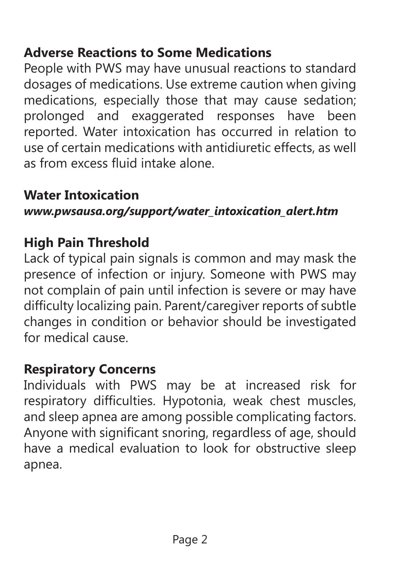## **Adverse Reactions to Some Medications**

People with PWS may have unusual reactions to standard dosages of medications. Use extreme caution when giving medications, especially those that may cause sedation; prolonged and exaggerated responses have been reported. Water intoxication has occurred in relation to use of certain medications with antidiuretic effects, as well as from excess fluid intake alone.

## **Water Intoxication**

*www.pwsausa.org/support/water\_intoxication\_alert.htm*

#### **High Pain Threshold**

Lack of typical pain signals is common and may mask the presence of infection or injury. Someone with PWS may not complain of pain until infection is severe or may have difficulty localizing pain. Parent/caregiver reports of subtle changes in condition or behavior should be investigated for medical cause.

#### **Respiratory Concerns**

Individuals with PWS may be at increased risk for respiratory difficulties. Hypotonia, weak chest muscles, and sleep apnea are among possible complicating factors. Anyone with significant snoring, regardless of age, should have a medical evaluation to look for obstructive sleep apnea.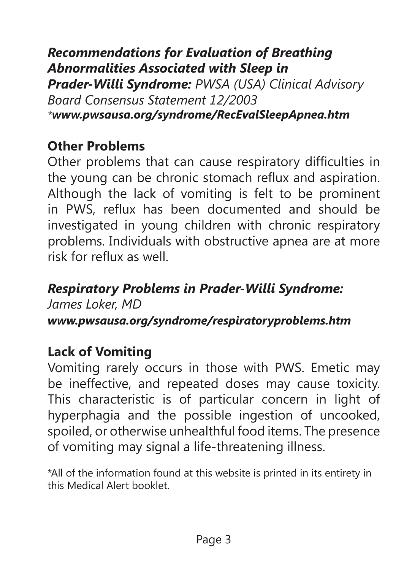*Recommendations for Evaluation of Breathing Abnormalities Associated with Sleep in Prader-Willi Syndrome: PWSA (USA) Clinical Advisory Board Consensus Statement 12/2003 \*www.pwsausa.org/syndrome/RecEvalSleepApnea.htm*

## **Other Problems**

Other problems that can cause respiratory difficulties in the young can be chronic stomach reflux and aspiration. Although the lack of vomiting is felt to be prominent in PWS, reflux has been documented and should be investigated in young children with chronic respiratory problems. Individuals with obstructive apnea are at more risk for reflux as well.

#### *Respiratory Problems in Prader-Willi Syndrome: James Loker, MD*

*www.pwsausa.org/syndrome/respiratoryproblems.htm*

## **Lack of Vomiting**

Vomiting rarely occurs in those with PWS. Emetic may be ineffective, and repeated doses may cause toxicity. This characteristic is of particular concern in light of hyperphagia and the possible ingestion of uncooked, spoiled, or otherwise unhealthful food items. The presence of vomiting may signal a life-threatening illness.

\*All of the information found at this website is printed in its entirety in this Medical Alert booklet.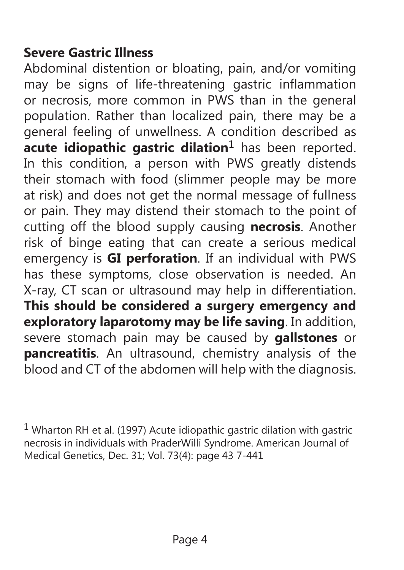#### **Severe Gastric Illness**

Abdominal distention or bloating, pain, and/or vomiting may be signs of life-threatening gastric inflammation or necrosis, more common in PWS than in the general population. Rather than localized pain, there may be a general feeling of unwellness. A condition described as **acute idiopathic gastric dilation**1 has been reported. In this condition, a person with PWS greatly distends their stomach with food (slimmer people may be more at risk) and does not get the normal message of fullness or pain. They may distend their stomach to the point of cutting off the blood supply causing **necrosis**. Another risk of binge eating that can create a serious medical emergency is **GI perforation**. If an individual with PWS has these symptoms, close observation is needed. An X-ray, CT scan or ultrasound may help in differentiation. **This should be considered a surgery emergency and exploratory laparotomy may be life saving**. In addition, severe stomach pain may be caused by **gallstones** or **pancreatitis**. An ultrasound, chemistry analysis of the blood and CT of the abdomen will help with the diagnosis.

<sup>1</sup> Wharton RH et al. (1997) Acute idiopathic gastric dilation with gastric necrosis in individuals with PraderWilli Syndrome. American Journal of Medical Genetics, Dec. 31; Vol. 73(4): page 43 7-441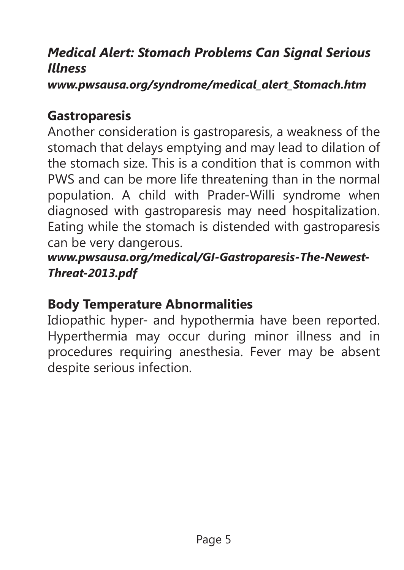## *Medical Alert: Stomach Problems Can Signal Serious Illness*

*www.pwsausa.org/syndrome/medical\_alert\_Stomach.htm*

#### **Gastroparesis**

Another consideration is gastroparesis, a weakness of the stomach that delays emptying and may lead to dilation of the stomach size. This is a condition that is common with PWS and can be more life threatening than in the normal population. A child with Prader-Willi syndrome when diagnosed with gastroparesis may need hospitalization. Eating while the stomach is distended with gastroparesis can be very dangerous.

*www.pwsausa.org/medical/GI-Gastroparesis-The-Newest-Threat-2013.pdf*

#### **Body Temperature Abnormalities**

Idiopathic hyper- and hypothermia have been reported. Hyperthermia may occur during minor illness and in procedures requiring anesthesia. Fever may be absent despite serious infection.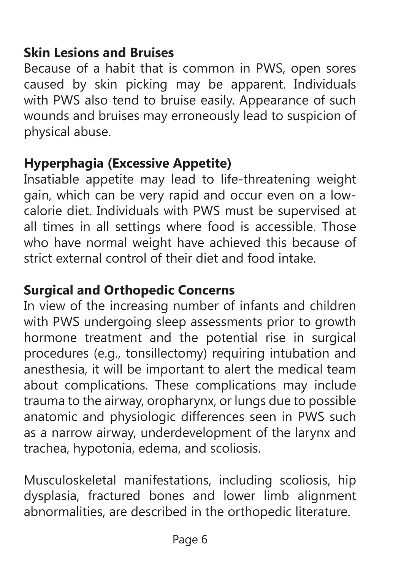#### **Skin Lesions and Bruises**

Because of a habit that is common in PWS, open sores caused by skin picking may be apparent. Individuals with PWS also tend to bruise easily. Appearance of such wounds and bruises may erroneously lead to suspicion of physical abuse.

#### **Hyperphagia (Excessive Appetite)**

Insatiable appetite may lead to life-threatening weight gain, which can be very rapid and occur even on a lowcalorie diet. Individuals with PWS must be supervised at all times in all settings where food is accessible. Those who have normal weight have achieved this because of strict external control of their diet and food intake.

#### **Surgical and Orthopedic Concerns**

In view of the increasing number of infants and children with PWS undergoing sleep assessments prior to growth hormone treatment and the potential rise in surgical procedures (e.g., tonsillectomy) requiring intubation and anesthesia, it will be important to alert the medical team about complications. These complications may include trauma to the airway, oropharynx, or lungs due to possible anatomic and physiologic differences seen in PWS such as a narrow airway, underdevelopment of the larynx and trachea, hypotonia, edema, and scoliosis.

Musculoskeletal manifestations, including scoliosis, hip dysplasia, fractured bones and lower limb alignment abnormalities, are described in the orthopedic literature.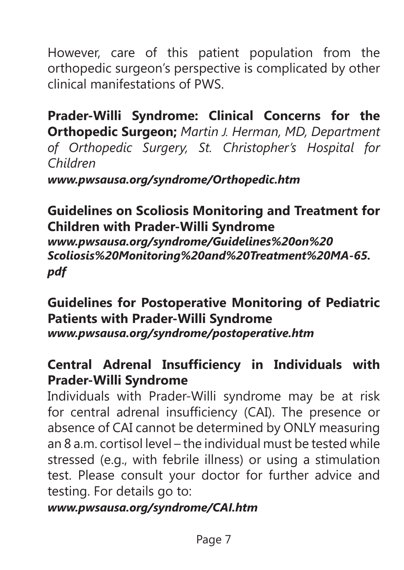However, care of this patient population from the orthopedic surgeon's perspective is complicated by other clinical manifestations of PWS.

**Prader-Willi Syndrome: Clinical Concerns for the Orthopedic Surgeon;** *Martin J. Herman, MD, Department of Orthopedic Surgery, St. Christopher's Hospital for Children*

*www.pwsausa.org/syndrome/Orthopedic.htm*

**Guidelines on Scoliosis Monitoring and Treatment for Children with Prader-Willi Syndrome** *www.pwsausa.org/syndrome/Guidelines%20on%20 Scoliosis%20Monitoring%20and%20Treatment%20MA-65. pdf*

**Guidelines for Postoperative Monitoring of Pediatric Patients with Prader-Willi Syndrome** *www.pwsausa.org/syndrome/postoperative.htm*

#### **Central Adrenal Insufficiency in Individuals with Prader-Willi Syndrome**

Individuals with Prader-Willi syndrome may be at risk for central adrenal insufficiency (CAI). The presence or absence of CAI cannot be determined by ONLY measuring an 8 a.m. cortisol level – the individual must be tested while stressed (e.g., with febrile illness) or using a stimulation test. Please consult your doctor for further advice and testing. For details go to:

#### *www.pwsausa.org/syndrome/CAI.htm*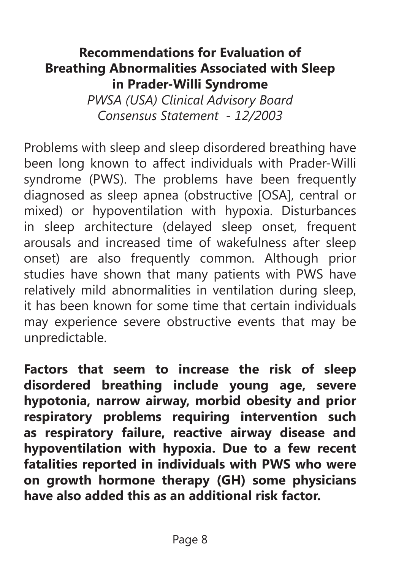#### **Recommendations for Evaluation of Breathing Abnormalities Associated with Sleep in Prader-Willi Syndrome**

*PWSA (USA) Clinical Advisory Board Consensus Statement - 12/2003*

Problems with sleep and sleep disordered breathing have been long known to affect individuals with Prader-Willi syndrome (PWS). The problems have been frequently diagnosed as sleep apnea (obstructive [OSA], central or mixed) or hypoventilation with hypoxia. Disturbances in sleep architecture (delayed sleep onset, frequent arousals and increased time of wakefulness after sleep onset) are also frequently common. Although prior studies have shown that many patients with PWS have relatively mild abnormalities in ventilation during sleep, it has been known for some time that certain individuals may experience severe obstructive events that may be unpredictable.

**Factors that seem to increase the risk of sleep disordered breathing include young age, severe hypotonia, narrow airway, morbid obesity and prior respiratory problems requiring intervention such as respiratory failure, reactive airway disease and hypoventilation with hypoxia. Due to a few recent fatalities reported in individuals with PWS who were on growth hormone therapy (GH) some physicians have also added this as an additional risk factor.**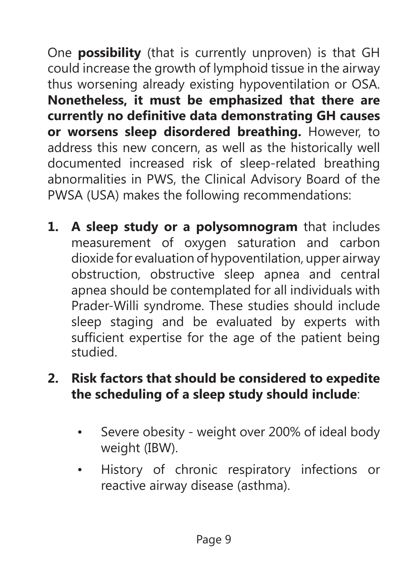One **possibility** (that is currently unproven) is that GH could increase the growth of lymphoid tissue in the airway thus worsening already existing hypoventilation or OSA. **Nonetheless, it must be emphasized that there are currently no definitive data demonstrating GH causes or worsens sleep disordered breathing.** However, to address this new concern, as well as the historically well documented increased risk of sleep-related breathing abnormalities in PWS, the Clinical Advisory Board of the PWSA (USA) makes the following recommendations:

**1. A sleep study or a polysomnogram** that includes measurement of oxygen saturation and carbon dioxide for evaluation of hypoventilation, upper airway obstruction, obstructive sleep apnea and central apnea should be contemplated for all individuals with Prader-Willi syndrome. These studies should include sleep staging and be evaluated by experts with sufficient expertise for the age of the patient being studied.

## **2. Risk factors that should be considered to expedite the scheduling of a sleep study should include**:

- Severe obesity weight over 200% of ideal body weight (IBW).
- History of chronic respiratory infections or reactive airway disease (asthma).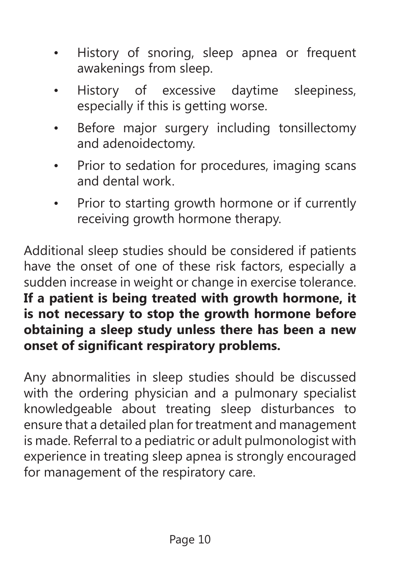- History of snoring, sleep apnea or frequent awakenings from sleep.
- History of excessive daytime sleepiness, especially if this is getting worse.
- Before major surgery including tonsillectomy and adenoidectomy.
- Prior to sedation for procedures, imaging scans and dental work.
- Prior to starting growth hormone or if currently receiving growth hormone therapy.

Additional sleep studies should be considered if patients have the onset of one of these risk factors, especially a sudden increase in weight or change in exercise tolerance. **If a patient is being treated with growth hormone, it is not necessary to stop the growth hormone before obtaining a sleep study unless there has been a new onset of significant respiratory problems.**

Any abnormalities in sleep studies should be discussed with the ordering physician and a pulmonary specialist knowledgeable about treating sleep disturbances to ensure that a detailed plan for treatment and management is made. Referral to a pediatric or adult pulmonologist with experience in treating sleep apnea is strongly encouraged for management of the respiratory care.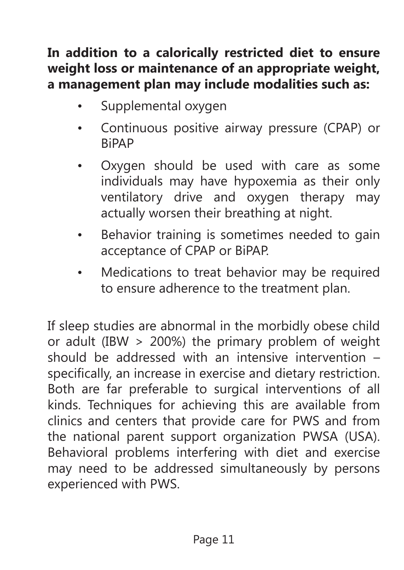## **In addition to a calorically restricted diet to ensure weight loss or maintenance of an appropriate weight, a management plan may include modalities such as:**

- Supplemental oxygen
- Continuous positive airway pressure (CPAP) or BiPAP
- Oxygen should be used with care as some individuals may have hypoxemia as their only ventilatory drive and oxygen therapy may actually worsen their breathing at night.
- Behavior training is sometimes needed to gain acceptance of CPAP or BiPAP.
- Medications to treat behavior may be required to ensure adherence to the treatment plan.

If sleep studies are abnormal in the morbidly obese child or adult (IBW > 200%) the primary problem of weight should be addressed with an intensive intervention – specifically, an increase in exercise and dietary restriction. Both are far preferable to surgical interventions of all kinds. Techniques for achieving this are available from clinics and centers that provide care for PWS and from the national parent support organization PWSA (USA). Behavioral problems interfering with diet and exercise may need to be addressed simultaneously by persons experienced with PWS.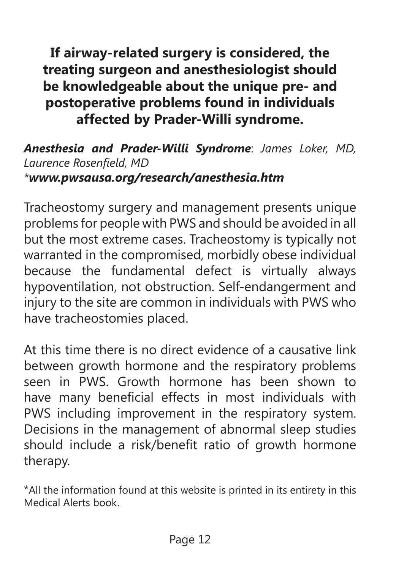**If airway-related surgery is considered, the treating surgeon and anesthesiologist should be knowledgeable about the unique pre- and postoperative problems found in individuals affected by Prader-Willi syndrome.**

#### *Anesthesia and Prader-Willi Syndrome*: *James Loker, MD, Laurence Rosenfield, MD \*www.pwsausa.org/research/anesthesia.htm*

Tracheostomy surgery and management presents unique problems for people with PWS and should be avoided in all but the most extreme cases. Tracheostomy is typically not warranted in the compromised, morbidly obese individual because the fundamental defect is virtually always hypoventilation, not obstruction. Self-endangerment and injury to the site are common in individuals with PWS who have tracheostomies placed.

At this time there is no direct evidence of a causative link between growth hormone and the respiratory problems seen in PWS. Growth hormone has been shown to have many beneficial effects in most individuals with PWS including improvement in the respiratory system. Decisions in the management of abnormal sleep studies should include a risk/benefit ratio of growth hormone therapy.

\*All the information found at this website is printed in its entirety in this Medical Alerts book.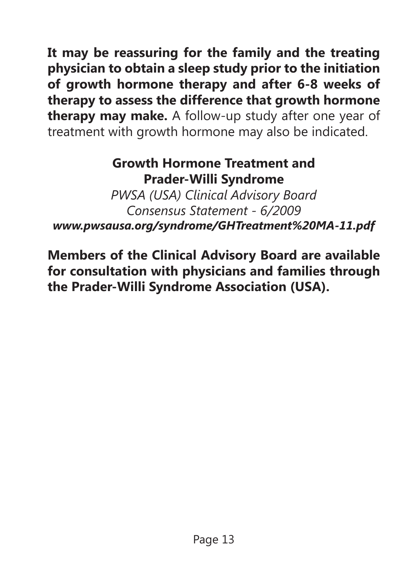**It may be reassuring for the family and the treating physician to obtain a sleep study prior to the initiation of growth hormone therapy and after 6-8 weeks of therapy to assess the difference that growth hormone therapy may make.** A follow-up study after one year of treatment with growth hormone may also be indicated.

#### **Growth Hormone Treatment and Prader-Willi Syndrome**

*PWSA (USA) Clinical Advisory Board Consensus Statement - 6/2009 www.pwsausa.org/syndrome/GHTreatment%20MA-11.pdf*

**Members of the Clinical Advisory Board are available for consultation with physicians and families through the Prader-Willi Syndrome Association (USA).**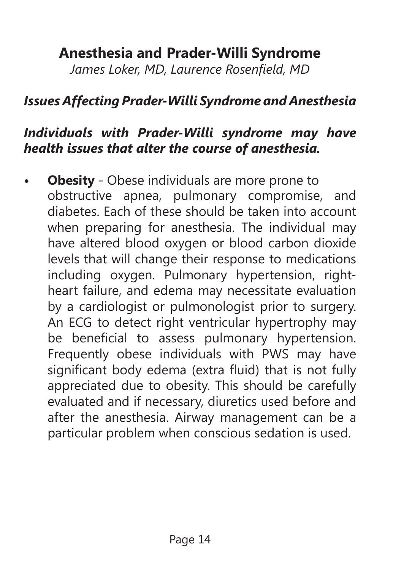# **Anesthesia and Prader-Willi Syndrome**

*James Loker, MD, Laurence Rosenfield, MD*

#### *Issues Affecting Prader-Willi Syndrome and Anesthesia*

#### *Individuals with Prader-Willi syndrome may have health issues that alter the course of anesthesia.*

**Obesity** - Obese individuals are more prone to obstructive apnea, pulmonary compromise, and diabetes. Each of these should be taken into account when preparing for anesthesia. The individual may have altered blood oxygen or blood carbon dioxide levels that will change their response to medications including oxygen. Pulmonary hypertension, rightheart failure, and edema may necessitate evaluation by a cardiologist or pulmonologist prior to surgery. An ECG to detect right ventricular hypertrophy may be beneficial to assess pulmonary hypertension. Frequently obese individuals with PWS may have significant body edema (extra fluid) that is not fully appreciated due to obesity. This should be carefully evaluated and if necessary, diuretics used before and after the anesthesia. Airway management can be a particular problem when conscious sedation is used.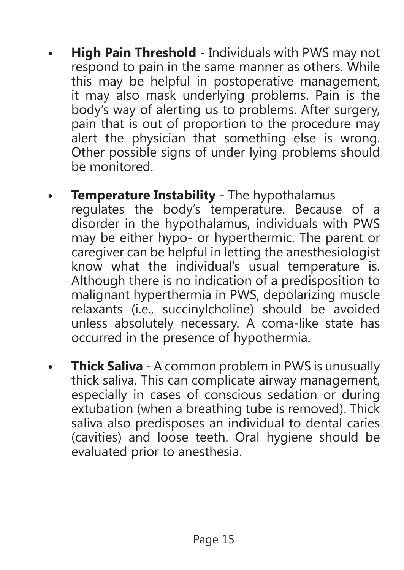- **• High Pain Threshold** Individuals with PWS may not respond to pain in the same manner as others. While this may be helpful in postoperative management, it may also mask underlying problems. Pain is the body's way of alerting us to problems. After surgery, pain that is out of proportion to the procedure may alert the physician that something else is wrong. Other possible signs of under lying problems should be monitored.
- **• Temperature Instability** The hypothalamus regulates the body's temperature. Because of a disorder in the hypothalamus, individuals with PWS may be either hypo- or hyperthermic. The parent or caregiver can be helpful in letting the anesthesiologist know what the individual's usual temperature is. Although there is no indication of a predisposition to malignant hyperthermia in PWS, depolarizing muscle relaxants (i.e., succinylcholine) should be avoided unless absolutely necessary. A coma-like state has occurred in the presence of hypothermia.
- **• Thick Saliva** A common problem in PWS is unusually thick saliva. This can complicate airway management, especially in cases of conscious sedation or during extubation (when a breathing tube is removed). Thick saliva also predisposes an individual to dental caries (cavities) and loose teeth. Oral hygiene should be evaluated prior to anesthesia.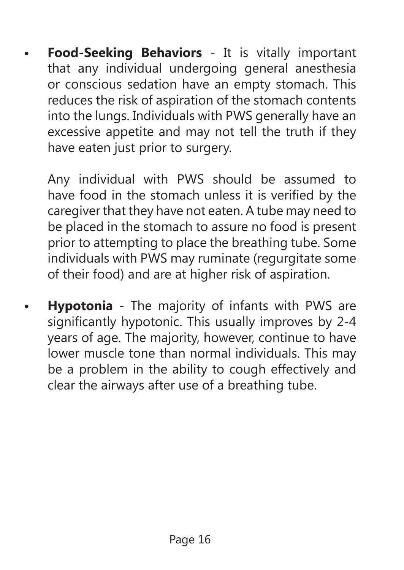**• Food-Seeking Behaviors** - It is vitally important that any individual undergoing general anesthesia or conscious sedation have an empty stomach. This reduces the risk of aspiration of the stomach contents into the lungs. Individuals with PWS generally have an excessive appetite and may not tell the truth if they have eaten just prior to surgery.

Any individual with PWS should be assumed to have food in the stomach unless it is verified by the caregiver that they have not eaten. A tube may need to be placed in the stomach to assure no food is present prior to attempting to place the breathing tube. Some individuals with PWS may ruminate (regurgitate some of their food) and are at higher risk of aspiration.

**• Hypotonia** - The majority of infants with PWS are significantly hypotonic. This usually improves by 2-4 years of age. The majority, however, continue to have lower muscle tone than normal individuals. This may be a problem in the ability to cough effectively and clear the airways after use of a breathing tube.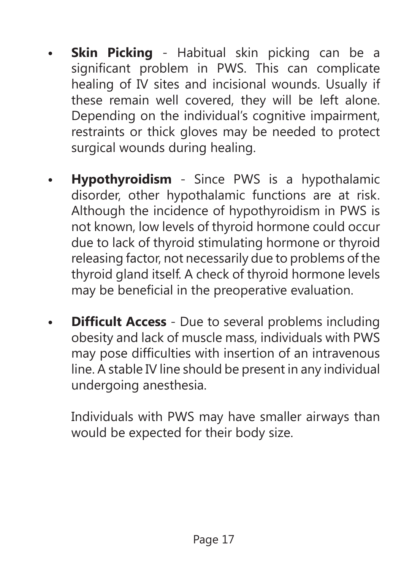- **Skin Picking** Habitual skin picking can be a significant problem in PWS. This can complicate healing of IV sites and incisional wounds. Usually if these remain well covered, they will be left alone. Depending on the individual's cognitive impairment, restraints or thick gloves may be needed to protect surgical wounds during healing.
- **• Hypothyroidism**  Since PWS is a hypothalamic disorder, other hypothalamic functions are at risk. Although the incidence of hypothyroidism in PWS is not known, low levels of thyroid hormone could occur due to lack of thyroid stimulating hormone or thyroid releasing factor, not necessarily due to problems of the thyroid gland itself. A check of thyroid hormone levels may be beneficial in the preoperative evaluation.
- **• Difficult Access** Due to several problems including obesity and lack of muscle mass, individuals with PWS may pose difficulties with insertion of an intravenous line. A stable IV line should be present in any individual undergoing anesthesia.

Individuals with PWS may have smaller airways than would be expected for their body size.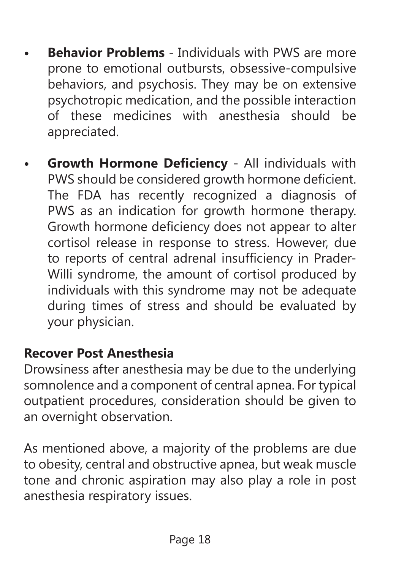- **Behavior Problems** Individuals with PWS are more prone to emotional outbursts, obsessive-compulsive behaviors, and psychosis. They may be on extensive psychotropic medication, and the possible interaction of these medicines with anesthesia should be appreciated.
- **• Growth Hormone Deficiency** All individuals with PWS should be considered growth hormone deficient. The FDA has recently recognized a diagnosis of PWS as an indication for growth hormone therapy. Growth hormone deficiency does not appear to alter cortisol release in response to stress. However, due to reports of central adrenal insufficiency in Prader-Willi syndrome, the amount of cortisol produced by individuals with this syndrome may not be adequate during times of stress and should be evaluated by your physician.

## **Recover Post Anesthesia**

Drowsiness after anesthesia may be due to the underlying somnolence and a component of central apnea. For typical outpatient procedures, consideration should be given to an overnight observation.

As mentioned above, a majority of the problems are due to obesity, central and obstructive apnea, but weak muscle tone and chronic aspiration may also play a role in post anesthesia respiratory issues.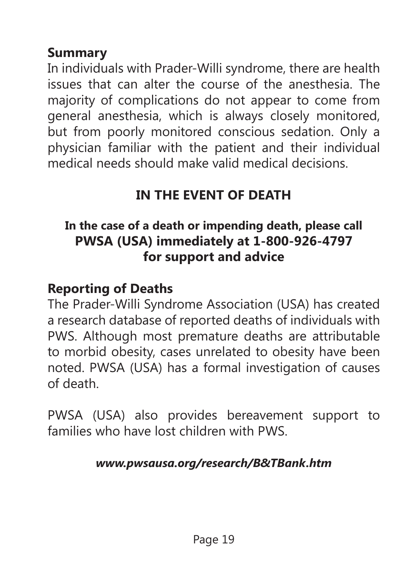#### **Summary**

In individuals with Prader-Willi syndrome, there are health issues that can alter the course of the anesthesia. The majority of complications do not appear to come from general anesthesia, which is always closely monitored, but from poorly monitored conscious sedation. Only a physician familiar with the patient and their individual medical needs should make valid medical decisions.

# **IN THE EVENT OF DEATH**

### **In the case of a death or impending death, please call PWSA (USA) immediately at 1-800-926-4797 for support and advice**

### **Reporting of Deaths**

The Prader-Willi Syndrome Association (USA) has created a research database of reported deaths of individuals with PWS. Although most premature deaths are attributable to morbid obesity, cases unrelated to obesity have been noted. PWSA (USA) has a formal investigation of causes of death.

PWSA (USA) also provides bereavement support to families who have lost children with PWS.

#### *www.pwsausa.org/research/B&TBank.htm*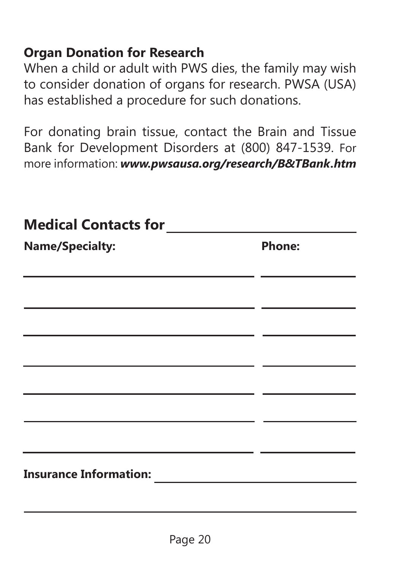#### **Organ Donation for Research**

When a child or adult with PWS dies, the family may wish to consider donation of organs for research. PWSA (USA) has established a procedure for such donations.

For donating brain tissue, contact the Brain and Tissue Bank for Development Disorders at (800) 847-1539. For more information: *www.pwsausa.org/research/B&TBank.htm*

| <b>Medical Contacts for</b>                                                                                                                                                                                                        |        |
|------------------------------------------------------------------------------------------------------------------------------------------------------------------------------------------------------------------------------------|--------|
| <b>Name/Specialty:</b>                                                                                                                                                                                                             | Phone: |
|                                                                                                                                                                                                                                    |        |
|                                                                                                                                                                                                                                    |        |
|                                                                                                                                                                                                                                    |        |
|                                                                                                                                                                                                                                    |        |
|                                                                                                                                                                                                                                    |        |
|                                                                                                                                                                                                                                    |        |
|                                                                                                                                                                                                                                    |        |
| <b>Insurance Information: Contract Contract Contract Contract Contract Contract Contract Contract Contract Contract Contract Contract Contract Contract Contract Contract Contract Contract Contract Contract Contract Contrac</b> |        |
|                                                                                                                                                                                                                                    |        |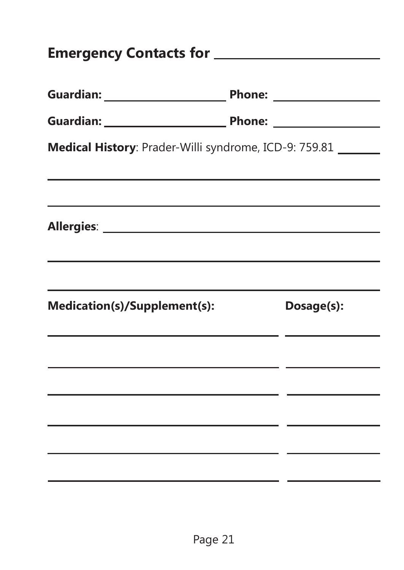|                              | Medical History: Prader-Willi syndrome, ICD-9: 759.81 ______                                                     |  |  |
|------------------------------|------------------------------------------------------------------------------------------------------------------|--|--|
|                              | and the control of the control of the control of the control of the control of the control of the control of the |  |  |
|                              |                                                                                                                  |  |  |
|                              |                                                                                                                  |  |  |
|                              |                                                                                                                  |  |  |
|                              |                                                                                                                  |  |  |
| Medication(s)/Supplement(s): | Dosage(s):                                                                                                       |  |  |
|                              |                                                                                                                  |  |  |
|                              |                                                                                                                  |  |  |
|                              | <u> 1989 - Johann Stoff, amerikansk politiker (* 1908)</u>                                                       |  |  |
|                              |                                                                                                                  |  |  |
|                              |                                                                                                                  |  |  |
|                              |                                                                                                                  |  |  |
|                              |                                                                                                                  |  |  |